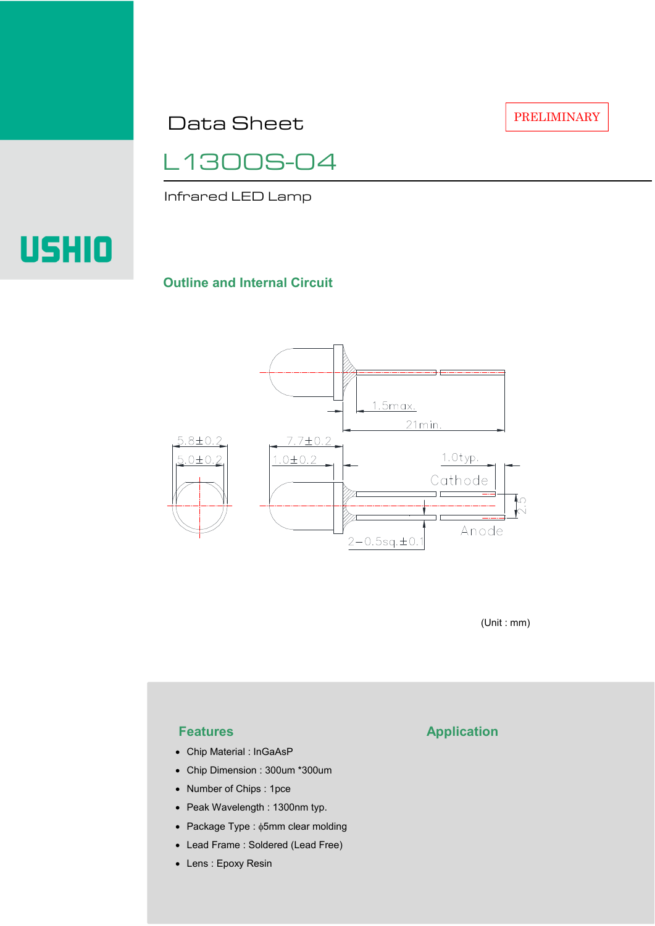Data Sheet

L1300S-04

Infrared LED Lamp

# USHIO

## **Outline and Internal Circuit**



(Unit : mm)

- Chip Material : InGaAsP
- Chip Dimension : 300um \*300um
- Number of Chips : 1pce
- Peak Wavelength : 1300nm typ.
- Package Type : φ5mm clear molding
- Lead Frame : Soldered (Lead Free)
- Lens : Epoxy Resin

# **Features Application**

PRELIMINARY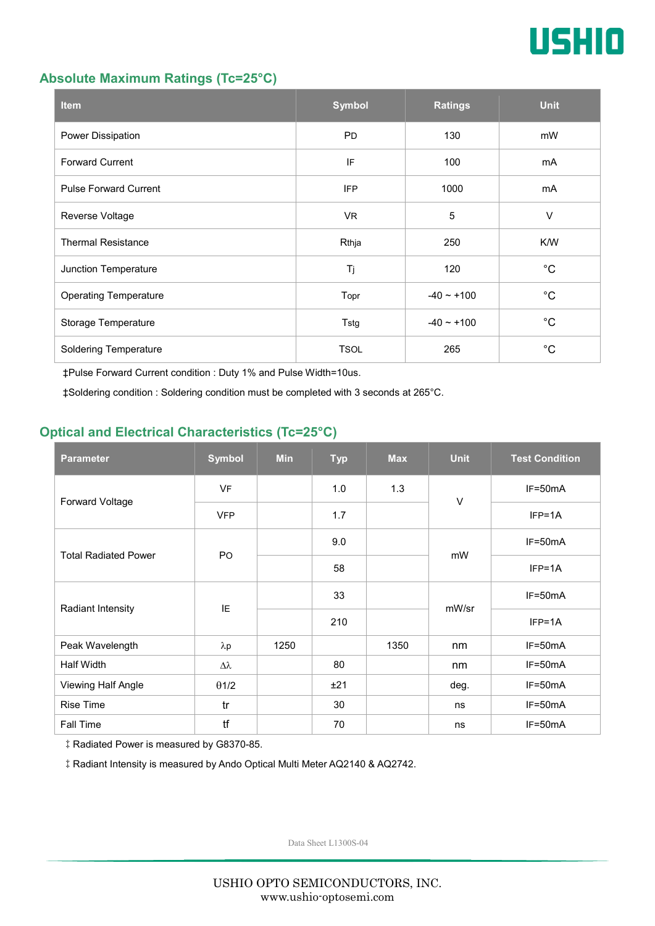

#### **Absolute Maximum Ratings (Tc=25°C)**

| <b>Item</b>                  | <b>Symbol</b> | <b>Ratings</b>  | <b>Unit</b> |
|------------------------------|---------------|-----------------|-------------|
| Power Dissipation            | <b>PD</b>     | 130             | mW          |
| <b>Forward Current</b>       | IF            | 100             | mA          |
| <b>Pulse Forward Current</b> | <b>IFP</b>    | 1000            | mA          |
| Reverse Voltage              | VR.           | $\overline{5}$  | $\vee$      |
| <b>Thermal Resistance</b>    | Rthja         | 250             | K/W         |
| Junction Temperature         | Tj            | 120             | $^{\circ}C$ |
| <b>Operating Temperature</b> | Topr          | $-40 \sim +100$ | $^{\circ}C$ |
| Storage Temperature          | Tstg          | $-40 \sim +100$ | $^{\circ}C$ |
| <b>Soldering Temperature</b> | <b>TSOL</b>   | 265             | $^{\circ}C$ |

‡Pulse Forward Current condition : Duty 1% and Pulse Width=10us.

‡Soldering condition : Soldering condition must be completed with 3 seconds at 265°C.

### **Optical and Electrical Characteristics (Tc=25°C)**

| <b>Parameter</b>            | <b>Symbol</b>  | <b>Min</b> | <b>Typ</b> | <b>Max</b> | <b>Unit</b> | <b>Test Condition</b> |
|-----------------------------|----------------|------------|------------|------------|-------------|-----------------------|
| Forward Voltage             | <b>VF</b>      |            | 1.0        | 1.3        | $\vee$      | IF=50mA               |
|                             | <b>VFP</b>     |            | 1.7        |            |             | $IFP=1A$              |
| <b>Total Radiated Power</b> | P <sub>O</sub> |            | 9.0        |            | mW          | $IF=50mA$             |
|                             |                |            | 58         |            |             | $IFP=1A$              |
| Radiant Intensity           | IE             |            | 33         |            | mW/sr       | $IF=50mA$             |
|                             |                |            | 210        |            |             | $IFP=1A$              |
| Peak Wavelength             | $\lambda p$    | 1250       |            | 1350       | nm          | $IF=50mA$             |
| Half Width                  | Δλ             |            | 80         |            | nm          | $IF=50mA$             |
| Viewing Half Angle          | $\theta$ 1/2   |            | ±21        |            | deg.        | $IF=50mA$             |
| <b>Rise Time</b>            | tr             |            | 30         |            | ns          | $IF=50mA$             |
| <b>Fall Time</b>            | tf             |            | 70         |            | ns          | $IF=50mA$             |

‡Radiated Power is measured by G8370-85.

‡Radiant Intensity is measured by Ando Optical Multi Meter AQ2140 & AQ2742.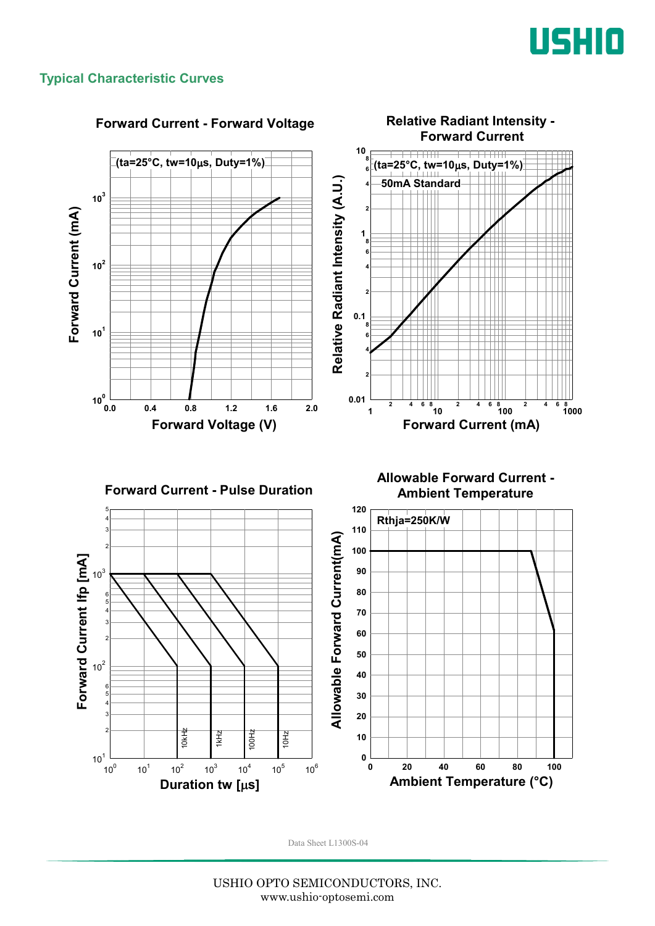

#### **Typical Characteristic Curves**



#### **Forward Current - Forward Voltage**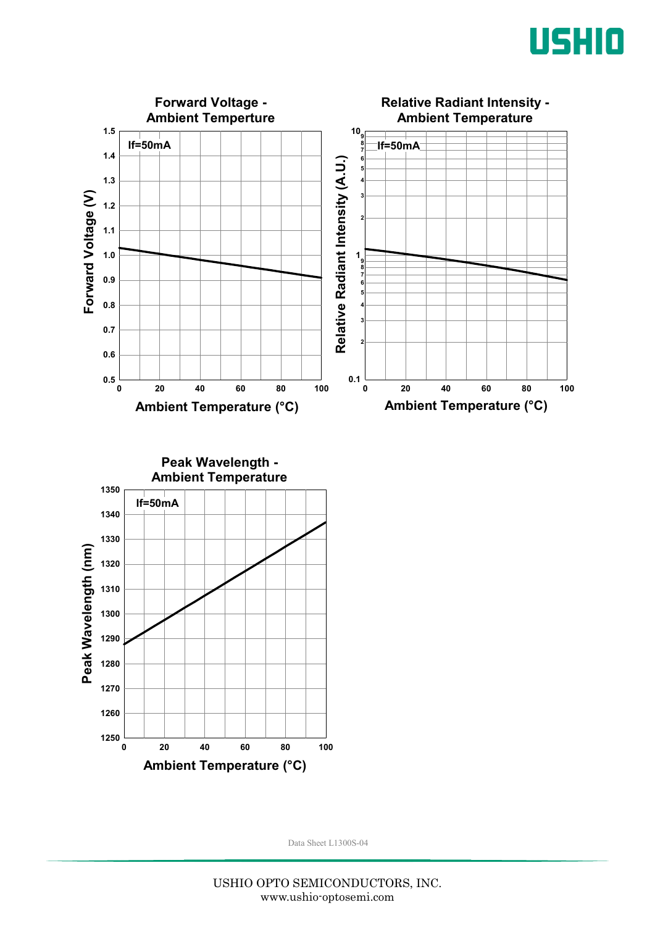



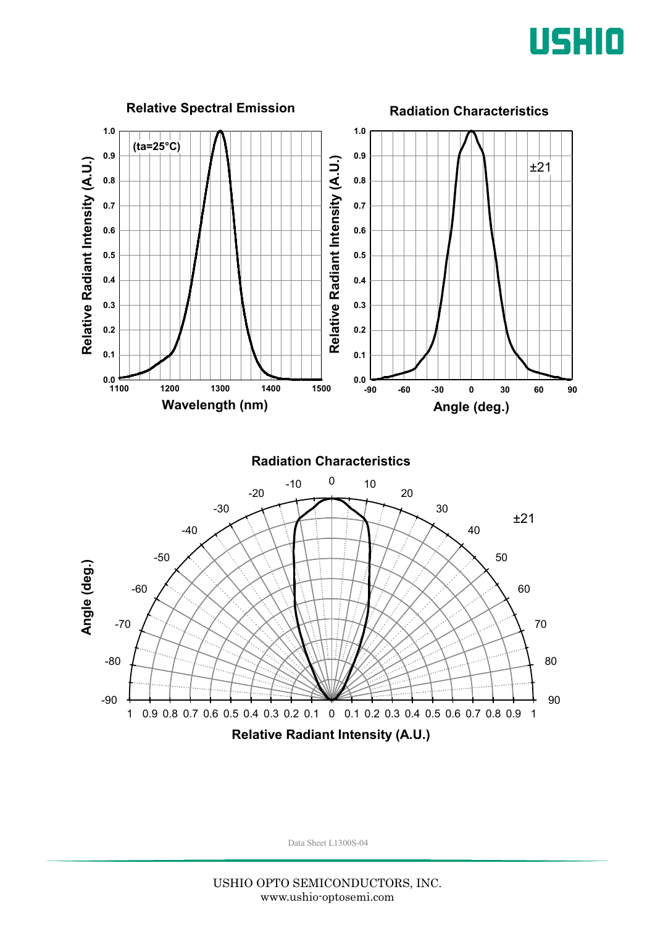